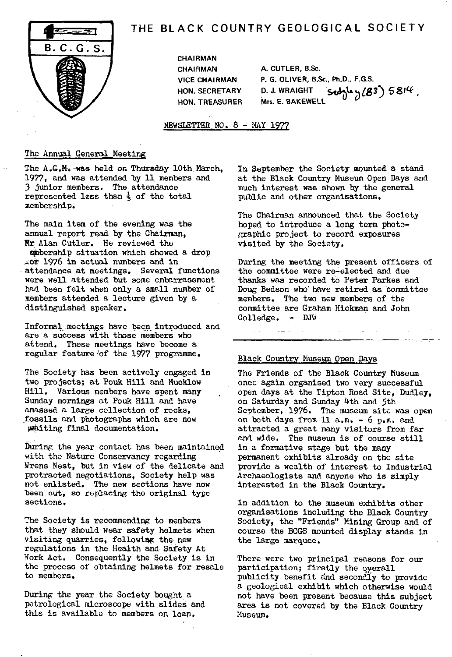

# THE BLACK COUNTRY GEOLOGICAL SOCIETY

**CHAIRMAN HON. TREASURER** 

**CHAIRMAN A. CUTLER, B.Sc. VICE CHAIRMAN P. G. OLIVER, B.Sc., Ph.D., F.G.S. HON. SECRETARY D. J. WRAIGHT '-"** 1 3) S8"4',

NEWSLETTER NO. 8 - MAY 1977

#### The Annual General Meeting

The A.G.M. was held on Thursday 10th March, In September the Society mounted a stand 1977, and was attended by 11 members and at the Black Country Museum Open Days and 1977, and was attended by 11 members and at the Black Country Museum Open Days and<br>3 junior members. The attendance and a much interest was shown by the general represented less than  $\frac{1}{3}$  of the total membership.

The main item of the evening was the annual report read by the Chairman, Mr Alan Cutler. He reviewed the bership situation which showed a drop :..or 1976 **in** actual numbers *and in* attendance at meetings. Several functions were well attended but some embarrassment had been felt when only a small number of members attended a lecture given by a distinguished speaker.

Informal meetings have been introduced and are a success with those members who attend. These meetings have become a regular feature 'of the 19?? programme.

The Society has been actively engaged in two projects; at Pouk Hill and Mucklow Hill. Various members have spent many Sunday mornings at Pouk Hill and have amassed a large collection of rocks, **fossils** and photographs which are now Waiting final documentation.

During the year contact has been maintained with the Nature Conservancy regarding Wrens Nest, but in view of the delicate and protracted negotiations, Society help was not enlisted. The new sections have now been cut, so replacing the original type sections.

The Society is recommending to members that they should wear safety helmets when visiting quarries, followiag the new regulations in the Health and Safety At 'fork Act. Consequently the Society is In the process of obtaining helmets for resale to members.

During the year the Society bought a petrological microscope with slides and this is available to members on loan.

much interest was shown by the general public and other organisations.

The Chairman announced that the Society hoped to introduce a long term photographic project to record exposures visited by the Society.

During the meeting the present officers of the committee were re-elected and due thanks was recorded to Peter Parkes and Doug Bedson who have retired as committee members. The two new members of the committee are Graham Hickman and John Colledge. - DJT

## Black Country Museum Open Days

The Friends of the Black Country Museum once again organised two very successful open days at the Tipton Road Site, Dudley, on Saturday and Sunday 4th and 5th September, 1976. The museum site was open on both days from 11 a.m. - 6 p.m, and attracted a great many visitors from far and wide. The museum is of course still in a formative stage but the many permanent exhibits already on the site provide a wealth of interest to Industrial Archaeologists and anyone who is simply interested in the Black Country.

In addition to the museum exhibits other organisations including the Black Country Society, the "Friends" Mining Group and of course the BCGS mounted display stands in the large marquee.

There were two principal reasons for our participation; firstly the gyerall publicity benefit and secondly to provide a geological exhibit which otherwise would not have been present because this subject area is not covered by the Black Country Museum.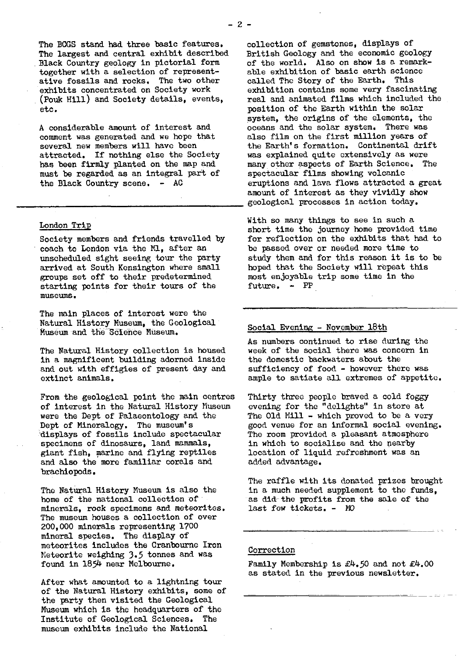The largest and central exhibit described Black Country geology in pictorial form together with a selection of represent-<br>ative fossils and rocks. The two other called The Story of the Earth. This ative fossils and rocks. The two other exhibits concentrated on Society work (Pouk Hill) and Society details, events, etc. position of the Earth within the solar

comment was generated and we hope that several new members will have been attracted. If nothing else the Society<br>has been firmly planted on the map and must be regarded as an integral part of the Black Country scene.  $-$  AC

#### London Trip

Society members and friends travelled by coach to London via the M1, after an unscheduled sight seeing tour the party arrived at South Kensington where small groups set off to their predetermined starting points for their tours of the museums.

The main places of interest were the Natural History Museum, the Geological Museum and the Science Museum.

The Natural History collection is housed in a magnificent building adorned inside and out with effigies of present day and extinct animals,

From the geological point the main centres of interest in the Natural History Museum were the Dept of Palaeontology and the Dept of Mineralogy. The museum's displays of fossils include spectacular specimens of dinosaurs, land mammals, giant fish, marine and flying reptiles and also the more familiar corals and brachiopods.

The Natural History Museum is also the home of the national collection of minerals, rock specimens and meteorites. The museum houses a collection of over 200,000 minerals representing 1700 mineral species. The display of meteorites includes the Cranbourne Iron Meteorite weighing 3.5 tonnes and was found in 1854 near Melbourne.

After what amounted to a lightning tour of the Natural History exhibits, some of the party then visited the Geological Museum which is the headquarters of the Institute of Geological Sciences. The museum exhibits include the National

The BCGS stand had three basic features. collection of gemstones, displays of<br>The largest and central exhibit described British Geology and the economic geology of the world. Also on show is a remark-<br>able exhibition of basic earth science exhibition contains some very fascinating<br>real and animated films which included the system, the origins of the elements, the A considerable amount of interest and oceans and the solar system. There was comment was generated and we hope that also film on the first million years of the Earth's formation. Continental drift<br>was explained quite extensively as were many other aspects of Earth Science. The spectacular films showing volcanic eruptions and lava flows attracted a great amount of interest as they vividly show geological processes in action today.

> With so many things to see in such a short time the journey home provided time for reflection on the exhibits that had to be passed over or needed more time to study them and for this reason it is to be hoped that the Society will repeat this most enjoyable trip some time in the future. - PP

### Social Evening - November 18th

As numbers continued to rise during the week of the social there was concern in the domestic backwaters about the sufficiency of food - however there was ample to satiate all extremes of appetite.

Thirty three people braved a cold foggy evening for the "delights" in store at The Old Mill - which proved to be a very good venue for an informal social evening. The room provided a pleasant atmosphere in which to socialise and the nearby location of liquid refreshment was an added advantage.

The raffle with its donated prizes brought in a much needed supplement to the funds, as did-the profits from the sale of the last few tickets. - MQ

#### Correction

Family Membership is £4.50 and not £4.00 as stated in the previous newsletter,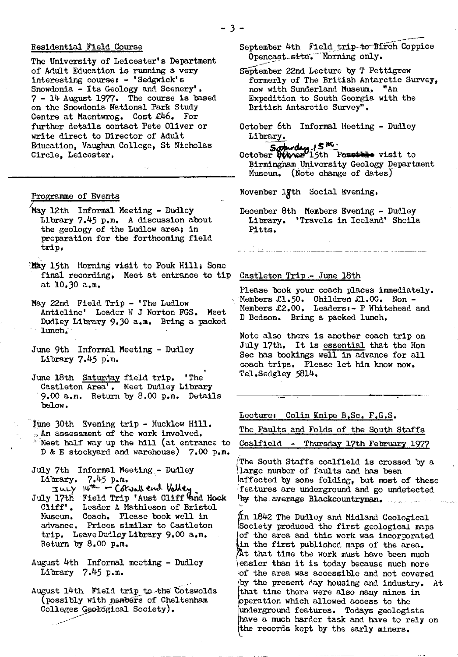#### Residential Field Course

The University of Leicester's Department of Adult Education is running a very interesting courses - 'Sedgwick's Snowdonia - Its Geology and Scenery'. 7 - 14 August 1977. The course is based on the Snowdonia National Park Study Centre at Maentwrog. Cost £46, For further details contact Pete Oliver or write direct to Director of Adult Education, Vaughan College, St Nicholas Circle, Leicester,

#### Programme of Events

- 'May 12th Informal Meeting Dudley Library 7.45 p.m. A discussion about the geology of the Ludlow area; in preparation for the forthcoming field trips
- May 15th Morning visit to Pouk Hill: Some final recording. Meet at entrance to tip at 10.30 a.m.
- May 22nd Field Trip 'The Ludlow Anticline' Leader W J Norton FGS. Meet Dudley Library 9.30 a.m. Bring a packed lunch.
- June 9th Informal Meeting Dudley Library 7.45 p.m.
- June 18th Saturday field trip. 'The Castleton Area'. Meet Dudley Library 9.00 a.m. Return by 8.00 p.m. Details below.
- June 30th Evening trip Mucklow Hill. An assessment of the work involved.  $^*$  Meet half way up the hill (at entrance to D & E stockyard and warehouse) 7.00 p.m.

July 7th Informal Meeting - Dudley Library.  $7.45$   $p_{\bullet}$ m.

- $I\psi^{\pi\pi}$   $\leftarrow$  Cotract end Vall July 17th Field Trip 'Aust Cliff and Hock Cliff'. Leader A Mathieson of Bristol Museum. Coach. Please book well in advance. Prices similar to Castleton trip. Leave Dudley Library 9,00 a.m. Return by 8.00 p.m.
- August 4th Informal meeting Dudley Library 7.45 p.m.
- August 14th Field trip\_to-the Cotswolds (possibly with members of Cheltenham Colleges Geological Society).
- September 4th Field trip-to Birch Coppice Opencast site. Morning only.
- eptember 22nd Lecture by T Pettigrew formerly of The British Antarctic Survey, now with Sunderland Museum. "An Expedition to South Georgia with the British Antarctic Survey".
- October 6th Informal Meeting Dudley Library.

October *Minner*<sup>15th</sup> Possible visit to Birmingham University Geology Department Museum: (Note change of dates)

November 1gth Social Evening.

December 8th Members Evening - Dudley Library. 'Travels in Iceland' Sheila Pitts.

#### Castleton Trip - June 18th

12 .....................

Please book your coach places immediately. Members £1.50. Children £1.00. Non - Members £2.00. Leaders:- P Whitehead and D Bedson. Bring a packed lunch.

Note also there is another coach trip on July 17th. It is essential that the Hon Sec has bookings well in advance for all coach trips. Please let him know now. Tel.Sedgley 5814.

Lecture: Colin Knipe B.Sc. F.G.S.

The Faults and Folds of the South Staffs

Coalfield - Thursday 17th February 1977

The South Staffs coalfield is crossed by a large number of faults and has been affected by some folding, but most of these features are underground and go undetected by the average Blackcountryman.

 $\,\rm (\,\,1842$  The Dudley and Midland Geological Society produced the first geological maps of the area and this work was incorporated in the first published maps of the area. At that time the work must have been much easier than it is today because much more of the area was accessible and not covered by the present day housing and industry. At that time there were also many mines in operation which allowed access to the underground features. Todays geologists have a much harder task and have to rely on the records kept by the early miners.